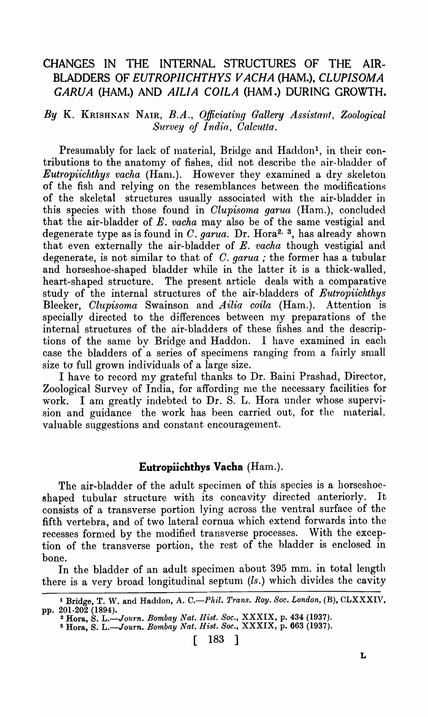# CHANGES IN THE INTERNAL STRUCTURES OF THE AIR-BLADDERS OF *EUTROPIICHTHYS V ACHA* (HAM.), *CLUPISOMA GARUA* (HAM.) AND *AILIA COILA* (HAM.) DURING GROWTH.

#### By K. KRISHNAN NAIR, *B.A.*, Officiating Gallery Assistant, Zoological *Survey of India, Calcutta.*

Presumably for lack of material, Bridge and Haddon<sup>1</sup>, in their contributions to the anatomy of fishes, did not describe the air-bladder of *Eutropiichthys vacha* (Ham.). However they examined a dry skeleton of the fish and relying on the resemblances between the modifications of the skeletal structures usually associated with the air-bladder in this species with those found in *Clupisoma garua* (Ham.), concluded that the air-bladder of  $E$ . *vacha* may also be of the same vestigial and degenerate type as is found in C. *garua*. Dr. Hora<sup>2, 3</sup>, has already shown that even externally the air-bladder of E. vacha though vestigial and degenerate, is not similar to that of C. *garua*; the former has a tubular and horseshoe-shaped bladder while in the latter it is a thick-walled, heart-shaped structure. The present article deals with a comparative study of the internal structures of the air-bladders of *Eutropiichthys*  Bleeker, *Clupisoma* Swainson and *Ailia coila* (Ham.). Attention is specially directed to the differences between my preparations of the internal structures of the air-bladders of these fishes and the descriptions of the same by Bridge and Haddon. I have examined in each case the bladders of a series of specimens ranging from a fairly small size to full grown individuals of a large size.

I have to record my grateful thanks to Dr. Baini Prashad, Director, Zoological Survey of India, for affording me the necessary facilities for work. I am greatly indebted to Dr. S. L. Hora under whose supervision and guidance the work has been carried out, for the material, valuable suggestions and constant encouragement.

#### Eutropiichthys Vacha (Ham.).

The air-bladder of the adult specimen of this species is a horseshoeshaped tubular structure with its concavity directed anteriorly. It consists of a transverse portion lying across the ventral surfaee of the fifth vertebra, and of two lateral cornua which extend forwards into the recesses formed by the modified transverse processes. With the exception of the transverse portion, the rest of the bladder is enclosed in bone.

In the bladder of an adult specimen about 395 mm. in total length there is a very broad longitudinal septum (ls.) which divides the cavity

3 Hora, S. *L.-Journ. Bombay Nat. Hist. Soc.,* XXXIX, p. 663 (1937).

[ 183 ]

<sup>&</sup>lt;sup>1</sup> Bridge, T. W. and Haddon, A. C.-Phil. *Trans. Roy. Soc. London*, (B), CLXXXIV, pp. 201-202 (1894). 2 Hora, S. *L.-Journ. Bombay Nat. llist. Soc.,* XXXIX, p. 434 (1937).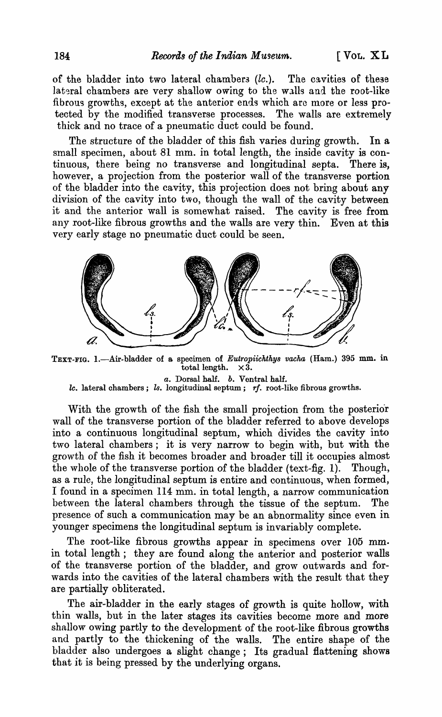of the bladder into two lateral chambers  $(lc.)$ . The cavities of these lateral chambers are very shallow owing to the walls and the root-like fibrous growths, except at the anterior ends which arc more or less protected by the modified transverse processes. The walls are extremely thick and no trace of a pneumatic duct could be found.

The structure of the bladder of this fish varies during growth. In a small specimen, about 81 mm. in total length, the inside cavity is continuous, there being no transverse and longitudinal septa. There is, however, a projection from the posterior wall of the transverse portion of the bladder into the cavity, this projection does not bring about any division of the cavity into two, though the wall of the cavity between it and the anterior wall is somewhat raised. The cavity is free from any root-like fibrous growths and the walls are very thin. Even at this very early stage no pneumatic duct could be seen.



TEXT-FIG. 1.—Air-bladder of a specimen of *Eutropiichthys vacha* (Ham.) 395 mm. in total length.  $\times 3$ . total length. *a.* Dorsal half. *b.* Ventral half.

*lc.* lateral chambers; *ls.* longitudinal septum; *rf.* root-like fibrous growths.

With the growth of the fish the small projection from the posterior wall of the transverse portion of the bladder referred to above develops into a continuous longitudinal septum, which divides the cavity into two lateral chambers; it is very narrow to begin with, but with the growth of the fish it becomes broader and broader till it occupies almost the whole of the transverse portion of the bladder (text-fig. 1). Though, as a rule, the longitudinal septum is entire and continuous, when formed, I found in a specimen 114 mm. in total length, a narrow communication between the lateral chambers through the tissue of the septum. The presence of such a communication may be an abnormality since even in younger specimens the longitudinal septum is invariably complete.

The root-like fibrous growths appear in specimens over 105 mm· in total length; they are found along the anterior and posterior walls of the transverse portion of the bladder, and grow outwards and forwards into the cavities of the lateral chambers with the result that they are partially obliterated.

The air-bladder in the early stages of growth is quite hollow, with thin walls, but in the later stages its cavities become more and more shallow owing partly to the development of the root-like fibrous growths and partly to the thickening of the walls. The entire shape of the bladder also undergoes a slight change; Its gradual flattening shows that it is being pressed by the underlying organs.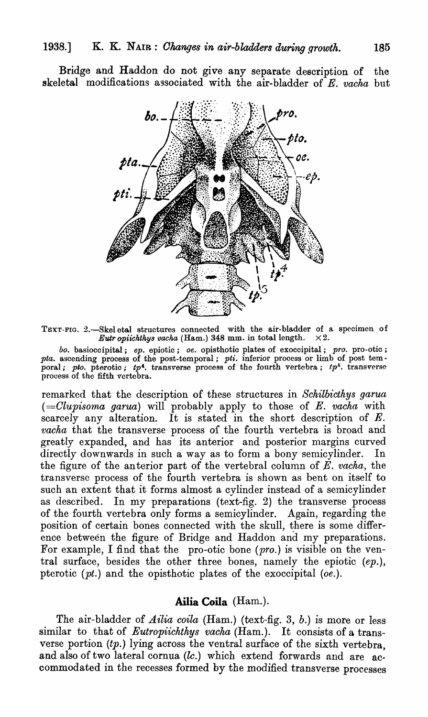Bridge and Haddon do not give any separate description of the skeletal modifications associated with the air-bladder of *E. vacha* but



TEXT-FIG. 2.—Skel etal structures connected with the air-bladder of a specimen of Eutropichthys vacha (Ham.) 348 mm. in total length.  $\times 2$ . *Eutr opiichthys vacha* (Ham.) 348 mm. in total length.

*boo* basioocipital; *ep.* epiotic; *oe.* opisthotic plates of exoccipital; *pro.* pro-otic; pta. ascending process of the post-temporal; pti. inferior process or limb of post temporal; *pto.* pterotic; *tp*<sup>4</sup>. transverse process of the fourth vertebra; *tp<sup>5</sup>*. transverse process of the fifth vertebra.

remarked that the description of these structures in *Schilbicthys garua (=Clupisoma garua)* will probably apply to those of E. *vacha* ,vith scarcely any alteration. It is stated in the short description of  $E$ . *vacha* that the transverse process of the fourth vertebra is broad and greatly expanded, and has its anterior and posterior margins curved directly downwards in such a way as to form a bony semicylinder. In the figure of the anterior part of the vertebral column of  $E$ . *vacha*, the transverse process of the fourth vertebra is shown as bent on itself to such an extent that it forms almost a cylinder instead of a semicylinder as described. In my preparations (text-fig. 2) the transverse process of the fourth vertebra only forms a semicylinder. Again, regarding the position of certain bones connected with the skull, there is some difference between the figure of Bridge and Haddon and my preparations. For example, I find that the pro-otic bone  $(pro.)$  is visible on the ventral surface, besides the other three bones, namely the epiotic (ep.), ptcrotic *(pt.)* and the opisthotic plates of the exoccipital *(oe.).* 

## **AiIia Coila** (Ham.).

The air-bladder of *Ailia coila* (Ham.) (text-fig. 3, b.) is more or less similar to that of *Eutropiichthys vacha* (Ham.). It consists of a transverse portion  $(tp.)$  lying across the ventral surface of the sixth vertebra, and also of two lateral cornua (lc.) which extend forwards and are accommodated in the recesses formed by the modified transverse processes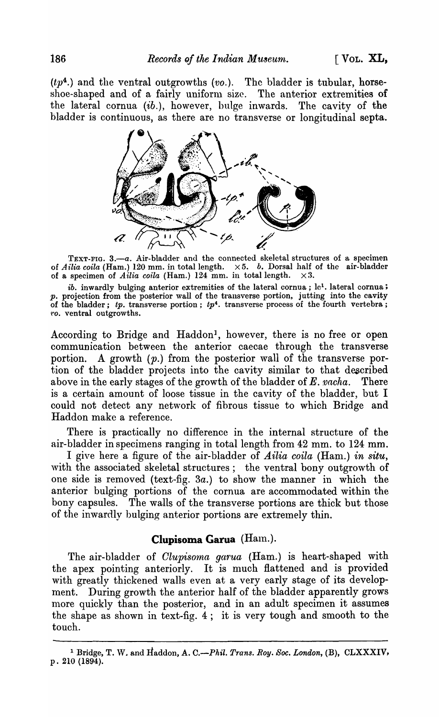$(tp<sup>4</sup>)$  and the ventral outgrowths (vo.). The bladder is tubular, horseshoe-shaped and of a fairly uniform size. The anterior extremities of the lateral cornua (ib.), however, bulge inwards. The cavity of the bladder is continuous, as there are no transverse or longitudinal septa.



TEXT-FIG. 3.-a. Air-bladder and the connected skeletal structures of a specimen of *Ailia coila* (Ham.) 120 mm. in total length. X 5. *b.* Dorsal half of the air-bladder of a specimen of *Ailia coila* (Ham.) 124 mm. in total length.  $\times 3$ .

*ib.* inwardly bulging anterior extremities of the lateral cornua; le<sup>1</sup>. lateral cornua; projection from the posterior wall of the transverse portion, jutting into the cavity of the bladder; *tp.* transverse portion; *tp4.* transverse process of the fourth vertebra; *·l'O.* ventral outgrowths.

According to Bridge and Haddon<sup>1</sup>, however, there is no free or open communication between the anterior caecae through the transverse portion. A growth  $(p_1)$  from the posterior wall of the transverse portion of the bladder projects into the cavity similar to that described above in the early stages of the growth of the bladder of *E. vacha.* There is a certain amount of loose tissue in the cavity of the bladder, but I could not detect any network of fibrous tissue to which Bridge and Haddon make a reference.

There is practically no difference in the internal structure of the air-bladder in specimens ranging in total length from 42 mm. to 124 mm.

I give here a figure of the air-bladder of *Ailia coila* (Ham.) *in situ*, with the associated skeletal structures; the ventral bony outgrowth of one side is removed (text-fig. *3a.)* to show the manner in which the anterior bulging portions of the cornua are accommodated within the bony capsules. The walls of the transverse portions are thick but those of the inwardly bulging anterior portions are extremely thin.

### **Clupisoma Garua** (Ham.).

The air-bladder of *Clupisoma garua* (Ham.) is heart-shaped with the apex pointing anteriorly. It is much flattened and is provided with greatly thickened walls even at a very early stage of its development. During growth the anterior half of the bladder apparently grows more quickly than the posterior, and in an adult specimen it assumes the shape as shown in text-fig. 4; it is very tough and smooth to the touch.

<sup>1</sup> Bridge, T. W. and Haddon, A. *C.-Phil. Trans. Roy. Soc. London,* (B), CLXXXIV, p. 210 (1894).